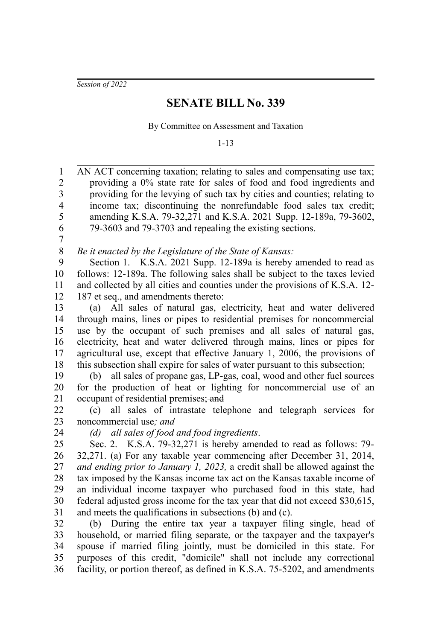*Session of 2022*

## **SENATE BILL No. 339**

By Committee on Assessment and Taxation

1-13

AN ACT concerning taxation; relating to sales and compensating use tax; providing a 0% state rate for sales of food and food ingredients and providing for the levying of such tax by cities and counties; relating to income tax; discontinuing the nonrefundable food sales tax credit; amending K.S.A. 79-32,271 and K.S.A. 2021 Supp. 12-189a, 79-3602, 79-3603 and 79-3703 and repealing the existing sections. 1 2 3 4 5 6

7

*Be it enacted by the Legislature of the State of Kansas:* 8

Section 1. K.S.A. 2021 Supp. 12-189a is hereby amended to read as follows: 12-189a. The following sales shall be subject to the taxes levied and collected by all cities and counties under the provisions of K.S.A. 12- 187 et seq., and amendments thereto: 9 10 11 12

(a) All sales of natural gas, electricity, heat and water delivered through mains, lines or pipes to residential premises for noncommercial use by the occupant of such premises and all sales of natural gas, electricity, heat and water delivered through mains, lines or pipes for agricultural use, except that effective January 1, 2006, the provisions of this subsection shall expire for sales of water pursuant to this subsection; 13 14 15 16 17 18

(b) all sales of propane gas, LP-gas, coal, wood and other fuel sources for the production of heat or lighting for noncommercial use of an occupant of residential premises; and 19 20 21

(c) all sales of intrastate telephone and telegraph services for noncommercial use*; and* 22 23

24

*(d) all sales of food and food ingredients*.

Sec. 2. K.S.A. 79-32,271 is hereby amended to read as follows: 79- 32,271. (a) For any taxable year commencing after December 31, 2014, *and ending prior to January 1, 2023,* a credit shall be allowed against the tax imposed by the Kansas income tax act on the Kansas taxable income of an individual income taxpayer who purchased food in this state, had federal adjusted gross income for the tax year that did not exceed \$30,615, and meets the qualifications in subsections (b) and (c). 25 26 27 28 29 30 31

(b) During the entire tax year a taxpayer filing single, head of household, or married filing separate, or the taxpayer and the taxpayer's spouse if married filing jointly, must be domiciled in this state. For purposes of this credit, "domicile" shall not include any correctional facility, or portion thereof, as defined in K.S.A. 75-5202, and amendments 32 33 34 35 36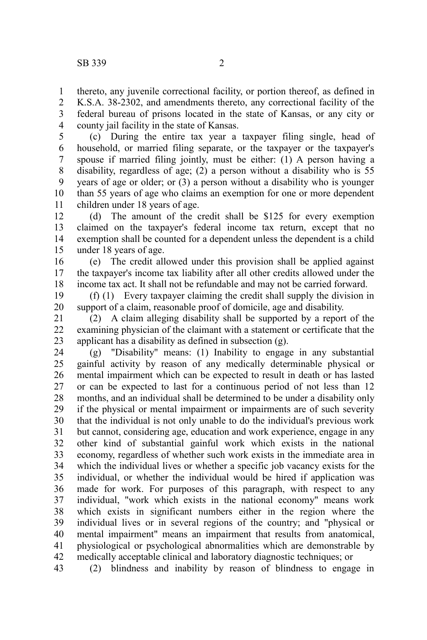thereto, any juvenile correctional facility, or portion thereof, as defined in 1

K.S.A. 38-2302, and amendments thereto, any correctional facility of the federal bureau of prisons located in the state of Kansas, or any city or county jail facility in the state of Kansas. 2 3 4

(c) During the entire tax year a taxpayer filing single, head of household, or married filing separate, or the taxpayer or the taxpayer's spouse if married filing jointly, must be either: (1) A person having a disability, regardless of age; (2) a person without a disability who is 55 years of age or older; or (3) a person without a disability who is younger than 55 years of age who claims an exemption for one or more dependent children under 18 years of age. 5 6 7 8 9 10 11

(d) The amount of the credit shall be \$125 for every exemption claimed on the taxpayer's federal income tax return, except that no exemption shall be counted for a dependent unless the dependent is a child under 18 years of age. 12 13 14 15

(e) The credit allowed under this provision shall be applied against the taxpayer's income tax liability after all other credits allowed under the income tax act. It shall not be refundable and may not be carried forward. 16 17 18

(f) (1) Every taxpayer claiming the credit shall supply the division in support of a claim, reasonable proof of domicile, age and disability. 19 20

(2) A claim alleging disability shall be supported by a report of the examining physician of the claimant with a statement or certificate that the applicant has a disability as defined in subsection (g). 21 22 23

(g) "Disability" means: (1) Inability to engage in any substantial gainful activity by reason of any medically determinable physical or mental impairment which can be expected to result in death or has lasted or can be expected to last for a continuous period of not less than 12 months, and an individual shall be determined to be under a disability only if the physical or mental impairment or impairments are of such severity that the individual is not only unable to do the individual's previous work but cannot, considering age, education and work experience, engage in any other kind of substantial gainful work which exists in the national economy, regardless of whether such work exists in the immediate area in which the individual lives or whether a specific job vacancy exists for the individual, or whether the individual would be hired if application was made for work. For purposes of this paragraph, with respect to any individual, "work which exists in the national economy" means work which exists in significant numbers either in the region where the individual lives or in several regions of the country; and "physical or mental impairment" means an impairment that results from anatomical, physiological or psychological abnormalities which are demonstrable by medically acceptable clinical and laboratory diagnostic techniques; or 24 25 26 27 28 29 30 31 32 33 34 35 36 37 38 39 40 41 42

(2) blindness and inability by reason of blindness to engage in 43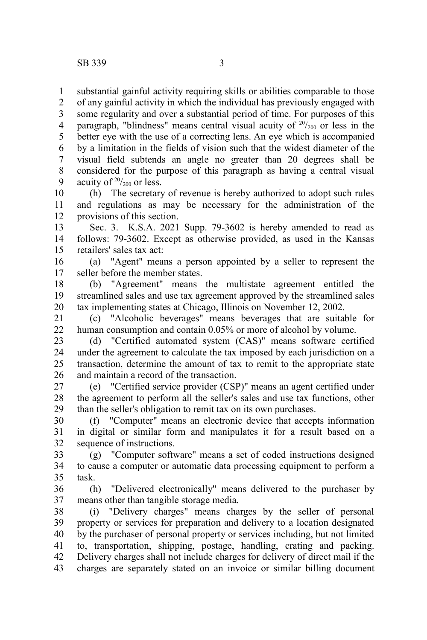substantial gainful activity requiring skills or abilities comparable to those 1

of any gainful activity in which the individual has previously engaged with some regularity and over a substantial period of time. For purposes of this paragraph, "blindness" means central visual acuity of  $20/20$  or less in the better eye with the use of a correcting lens. An eye which is accompanied by a limitation in the fields of vision such that the widest diameter of the visual field subtends an angle no greater than 20 degrees shall be considered for the purpose of this paragraph as having a central visual acuity of  $20/200$  or less. 2 3 4 5 6 7 8 9

(h) The secretary of revenue is hereby authorized to adopt such rules and regulations as may be necessary for the administration of the provisions of this section. 10 11 12

Sec. 3. K.S.A. 2021 Supp. 79-3602 is hereby amended to read as follows: 79-3602. Except as otherwise provided, as used in the Kansas retailers' sales tax act: 13 14 15

(a) "Agent" means a person appointed by a seller to represent the seller before the member states. 16 17

(b) "Agreement" means the multistate agreement entitled the streamlined sales and use tax agreement approved by the streamlined sales tax implementing states at Chicago, Illinois on November 12, 2002. 18 19 20

(c) "Alcoholic beverages" means beverages that are suitable for human consumption and contain 0.05% or more of alcohol by volume. 21 22

(d) "Certified automated system (CAS)" means software certified under the agreement to calculate the tax imposed by each jurisdiction on a transaction, determine the amount of tax to remit to the appropriate state and maintain a record of the transaction. 23 24 25 26

(e) "Certified service provider (CSP)" means an agent certified under the agreement to perform all the seller's sales and use tax functions, other than the seller's obligation to remit tax on its own purchases. 27 28 29

(f) "Computer" means an electronic device that accepts information in digital or similar form and manipulates it for a result based on a sequence of instructions. 30 31 32

(g) "Computer software" means a set of coded instructions designed to cause a computer or automatic data processing equipment to perform a task. 33 34 35

(h) "Delivered electronically" means delivered to the purchaser by means other than tangible storage media. 36 37

(i) "Delivery charges" means charges by the seller of personal property or services for preparation and delivery to a location designated by the purchaser of personal property or services including, but not limited to, transportation, shipping, postage, handling, crating and packing. Delivery charges shall not include charges for delivery of direct mail if the charges are separately stated on an invoice or similar billing document 38 39 40 41 42 43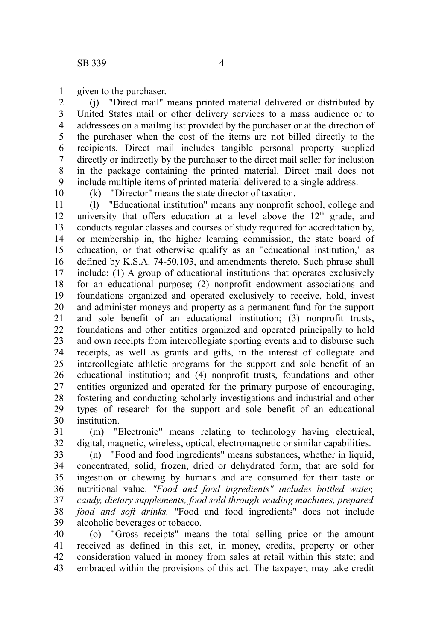given to the purchaser. 1

(j) "Direct mail" means printed material delivered or distributed by United States mail or other delivery services to a mass audience or to addressees on a mailing list provided by the purchaser or at the direction of the purchaser when the cost of the items are not billed directly to the recipients. Direct mail includes tangible personal property supplied directly or indirectly by the purchaser to the direct mail seller for inclusion in the package containing the printed material. Direct mail does not include multiple items of printed material delivered to a single address. 2 3 4 5 6 7 8 9

10

(k) "Director" means the state director of taxation.

(l) "Educational institution" means any nonprofit school, college and university that offers education at a level above the  $12<sup>th</sup>$  grade, and conducts regular classes and courses of study required for accreditation by, or membership in, the higher learning commission, the state board of education, or that otherwise qualify as an "educational institution," as defined by K.S.A. 74-50,103, and amendments thereto. Such phrase shall include: (1) A group of educational institutions that operates exclusively for an educational purpose; (2) nonprofit endowment associations and foundations organized and operated exclusively to receive, hold, invest and administer moneys and property as a permanent fund for the support and sole benefit of an educational institution; (3) nonprofit trusts, foundations and other entities organized and operated principally to hold and own receipts from intercollegiate sporting events and to disburse such receipts, as well as grants and gifts, in the interest of collegiate and intercollegiate athletic programs for the support and sole benefit of an educational institution; and (4) nonprofit trusts, foundations and other entities organized and operated for the primary purpose of encouraging, fostering and conducting scholarly investigations and industrial and other types of research for the support and sole benefit of an educational institution. 11 12 13 14 15 16 17 18 19 20 21 22 23 24 25 26 27 28 29 30

(m) "Electronic" means relating to technology having electrical, digital, magnetic, wireless, optical, electromagnetic or similar capabilities. 31 32

(n) "Food and food ingredients" means substances, whether in liquid, concentrated, solid, frozen, dried or dehydrated form, that are sold for ingestion or chewing by humans and are consumed for their taste or nutritional value. *"Food and food ingredients" includes bottled water, candy, dietary supplements, food sold through vending machines, prepared food and soft drinks.* "Food and food ingredients" does not include alcoholic beverages or tobacco. 33 34 35 36 37 38 39

(o) "Gross receipts" means the total selling price or the amount received as defined in this act, in money, credits, property or other consideration valued in money from sales at retail within this state; and embraced within the provisions of this act. The taxpayer, may take credit 40 41 42 43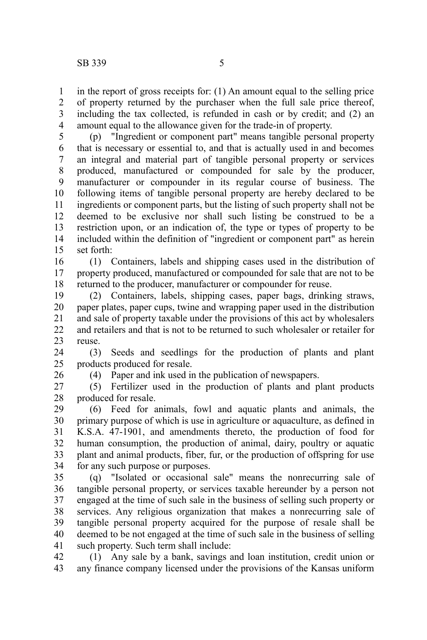in the report of gross receipts for: (1) An amount equal to the selling price of property returned by the purchaser when the full sale price thereof, including the tax collected, is refunded in cash or by credit; and (2) an amount equal to the allowance given for the trade-in of property. 1 2 3 4

(p) "Ingredient or component part" means tangible personal property that is necessary or essential to, and that is actually used in and becomes an integral and material part of tangible personal property or services produced, manufactured or compounded for sale by the producer, manufacturer or compounder in its regular course of business. The following items of tangible personal property are hereby declared to be ingredients or component parts, but the listing of such property shall not be deemed to be exclusive nor shall such listing be construed to be a restriction upon, or an indication of, the type or types of property to be included within the definition of "ingredient or component part" as herein set forth: 5 6 7 8 9 10 11 12 13 14 15

(1) Containers, labels and shipping cases used in the distribution of property produced, manufactured or compounded for sale that are not to be returned to the producer, manufacturer or compounder for reuse. 16 17 18

(2) Containers, labels, shipping cases, paper bags, drinking straws, paper plates, paper cups, twine and wrapping paper used in the distribution and sale of property taxable under the provisions of this act by wholesalers and retailers and that is not to be returned to such wholesaler or retailer for reuse. 19 20 21 22 23

(3) Seeds and seedlings for the production of plants and plant products produced for resale. 24 25

26

(4) Paper and ink used in the publication of newspapers.

(5) Fertilizer used in the production of plants and plant products produced for resale. 27 28

(6) Feed for animals, fowl and aquatic plants and animals, the primary purpose of which is use in agriculture or aquaculture, as defined in K.S.A. 47-1901, and amendments thereto, the production of food for human consumption, the production of animal, dairy, poultry or aquatic plant and animal products, fiber, fur, or the production of offspring for use for any such purpose or purposes. 29 30 31 32 33 34

(q) "Isolated or occasional sale" means the nonrecurring sale of tangible personal property, or services taxable hereunder by a person not engaged at the time of such sale in the business of selling such property or services. Any religious organization that makes a nonrecurring sale of tangible personal property acquired for the purpose of resale shall be deemed to be not engaged at the time of such sale in the business of selling such property. Such term shall include: 35 36 37 38 39 40 41

(1) Any sale by a bank, savings and loan institution, credit union or any finance company licensed under the provisions of the Kansas uniform 42 43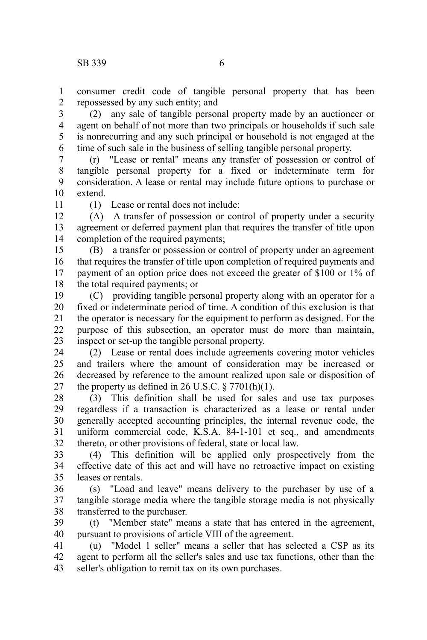consumer credit code of tangible personal property that has been repossessed by any such entity; and 1 2

(2) any sale of tangible personal property made by an auctioneer or agent on behalf of not more than two principals or households if such sale is nonrecurring and any such principal or household is not engaged at the time of such sale in the business of selling tangible personal property. 3 4 5 6

(r) "Lease or rental" means any transfer of possession or control of tangible personal property for a fixed or indeterminate term for consideration. A lease or rental may include future options to purchase or extend. 7 8 9 10

11

(1) Lease or rental does not include:

(A) A transfer of possession or control of property under a security agreement or deferred payment plan that requires the transfer of title upon completion of the required payments; 12 13 14

(B) a transfer or possession or control of property under an agreement that requires the transfer of title upon completion of required payments and payment of an option price does not exceed the greater of \$100 or 1% of the total required payments; or 15 16 17 18

(C) providing tangible personal property along with an operator for a fixed or indeterminate period of time. A condition of this exclusion is that the operator is necessary for the equipment to perform as designed. For the purpose of this subsection, an operator must do more than maintain, inspect or set-up the tangible personal property. 19 20 21 22 23

(2) Lease or rental does include agreements covering motor vehicles and trailers where the amount of consideration may be increased or decreased by reference to the amount realized upon sale or disposition of the property as defined in 26 U.S.C.  $\S 7701(h)(1)$ . 24 25 26 27

(3) This definition shall be used for sales and use tax purposes regardless if a transaction is characterized as a lease or rental under generally accepted accounting principles, the internal revenue code, the uniform commercial code, K.S.A. 84-1-101 et seq., and amendments thereto, or other provisions of federal, state or local law. 28 29 30 31 32

(4) This definition will be applied only prospectively from the effective date of this act and will have no retroactive impact on existing leases or rentals. 33 34 35

(s) "Load and leave" means delivery to the purchaser by use of a tangible storage media where the tangible storage media is not physically transferred to the purchaser. 36 37 38

(t) "Member state" means a state that has entered in the agreement, pursuant to provisions of article VIII of the agreement. 39 40

(u) "Model 1 seller" means a seller that has selected a CSP as its agent to perform all the seller's sales and use tax functions, other than the seller's obligation to remit tax on its own purchases. 41 42 43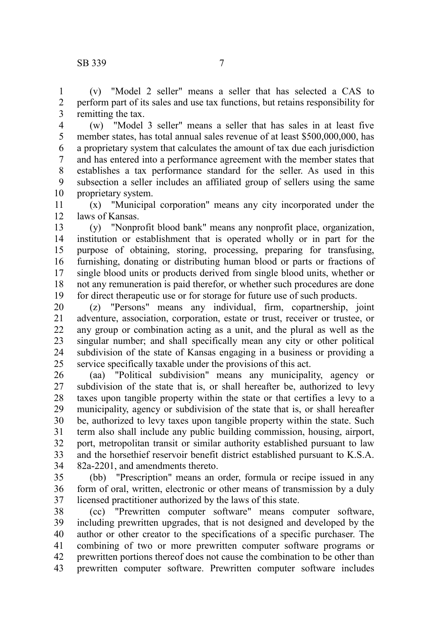(v) "Model 2 seller" means a seller that has selected a CAS to perform part of its sales and use tax functions, but retains responsibility for remitting the tax. 1 2 3

(w) "Model 3 seller" means a seller that has sales in at least five member states, has total annual sales revenue of at least \$500,000,000, has a proprietary system that calculates the amount of tax due each jurisdiction and has entered into a performance agreement with the member states that establishes a tax performance standard for the seller. As used in this subsection a seller includes an affiliated group of sellers using the same proprietary system. 4 5 6 7 8 9 10

(x) "Municipal corporation" means any city incorporated under the laws of Kansas. 11 12

(y) "Nonprofit blood bank" means any nonprofit place, organization, institution or establishment that is operated wholly or in part for the purpose of obtaining, storing, processing, preparing for transfusing, furnishing, donating or distributing human blood or parts or fractions of single blood units or products derived from single blood units, whether or not any remuneration is paid therefor, or whether such procedures are done for direct therapeutic use or for storage for future use of such products. 13 14 15 16 17 18 19

(z) "Persons" means any individual, firm, copartnership, joint adventure, association, corporation, estate or trust, receiver or trustee, or any group or combination acting as a unit, and the plural as well as the singular number; and shall specifically mean any city or other political subdivision of the state of Kansas engaging in a business or providing a service specifically taxable under the provisions of this act. 20 21 22 23 24 25

(aa) "Political subdivision" means any municipality, agency or subdivision of the state that is, or shall hereafter be, authorized to levy taxes upon tangible property within the state or that certifies a levy to a municipality, agency or subdivision of the state that is, or shall hereafter be, authorized to levy taxes upon tangible property within the state. Such term also shall include any public building commission, housing, airport, port, metropolitan transit or similar authority established pursuant to law and the horsethief reservoir benefit district established pursuant to K.S.A. 82a-2201, and amendments thereto. 26 27 28 29 30 31 32 33 34

(bb) "Prescription" means an order, formula or recipe issued in any form of oral, written, electronic or other means of transmission by a duly licensed practitioner authorized by the laws of this state. 35 36 37

(cc) "Prewritten computer software" means computer software, including prewritten upgrades, that is not designed and developed by the author or other creator to the specifications of a specific purchaser. The combining of two or more prewritten computer software programs or prewritten portions thereof does not cause the combination to be other than prewritten computer software. Prewritten computer software includes 38 39 40 41 42 43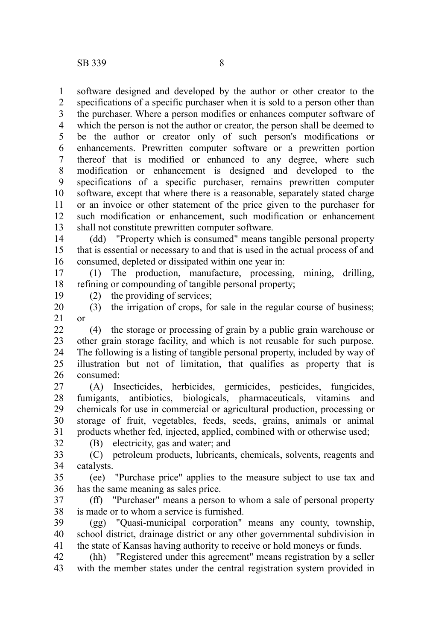software designed and developed by the author or other creator to the specifications of a specific purchaser when it is sold to a person other than the purchaser. Where a person modifies or enhances computer software of which the person is not the author or creator, the person shall be deemed to be the author or creator only of such person's modifications or enhancements. Prewritten computer software or a prewritten portion thereof that is modified or enhanced to any degree, where such modification or enhancement is designed and developed to the specifications of a specific purchaser, remains prewritten computer software, except that where there is a reasonable, separately stated charge or an invoice or other statement of the price given to the purchaser for such modification or enhancement, such modification or enhancement shall not constitute prewritten computer software. 1 2 3 4 5 6 7 8 9 10 11 12 13

(dd) "Property which is consumed" means tangible personal property that is essential or necessary to and that is used in the actual process of and consumed, depleted or dissipated within one year in: 14 15 16

(1) The production, manufacture, processing, mining, drilling, refining or compounding of tangible personal property; 17 18

19

(2) the providing of services;

(B) electricity, gas and water; and

(3) the irrigation of crops, for sale in the regular course of business; or 20 21

(4) the storage or processing of grain by a public grain warehouse or other grain storage facility, and which is not reusable for such purpose. The following is a listing of tangible personal property, included by way of illustration but not of limitation, that qualifies as property that is consumed: 22 23 24 25 26

(A) Insecticides, herbicides, germicides, pesticides, fungicides, fumigants, antibiotics, biologicals, pharmaceuticals, vitamins and chemicals for use in commercial or agricultural production, processing or storage of fruit, vegetables, feeds, seeds, grains, animals or animal products whether fed, injected, applied, combined with or otherwise used; 27 28 29 30 31

32

(C) petroleum products, lubricants, chemicals, solvents, reagents and catalysts. 33 34

(ee) "Purchase price" applies to the measure subject to use tax and has the same meaning as sales price. 35 36

(ff) "Purchaser" means a person to whom a sale of personal property is made or to whom a service is furnished. 37 38

(gg) "Quasi-municipal corporation" means any county, township, school district, drainage district or any other governmental subdivision in the state of Kansas having authority to receive or hold moneys or funds. 39 40 41

(hh) "Registered under this agreement" means registration by a seller with the member states under the central registration system provided in 42 43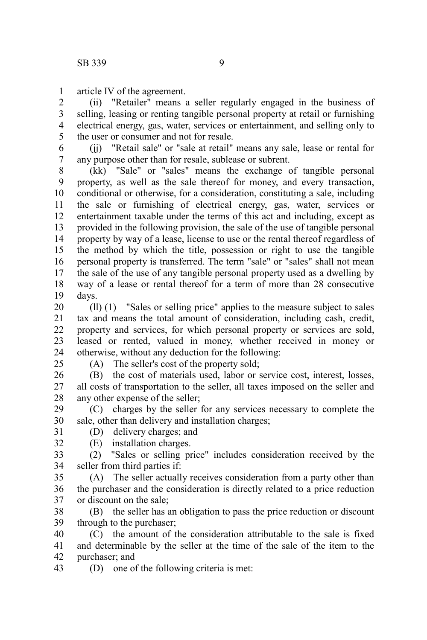article IV of the agreement. 1

(ii) "Retailer" means a seller regularly engaged in the business of selling, leasing or renting tangible personal property at retail or furnishing electrical energy, gas, water, services or entertainment, and selling only to the user or consumer and not for resale. 2 3 4 5

(ii) "Retail sale" or "sale at retail" means any sale, lease or rental for any purpose other than for resale, sublease or subrent. 6 7

(kk) "Sale" or "sales" means the exchange of tangible personal property, as well as the sale thereof for money, and every transaction, conditional or otherwise, for a consideration, constituting a sale, including the sale or furnishing of electrical energy, gas, water, services or entertainment taxable under the terms of this act and including, except as provided in the following provision, the sale of the use of tangible personal property by way of a lease, license to use or the rental thereof regardless of the method by which the title, possession or right to use the tangible personal property is transferred. The term "sale" or "sales" shall not mean the sale of the use of any tangible personal property used as a dwelling by way of a lease or rental thereof for a term of more than 28 consecutive days. 8 9 10 11 12 13 14 15 16 17 18 19

(ll) (1) "Sales or selling price" applies to the measure subject to sales tax and means the total amount of consideration, including cash, credit, property and services, for which personal property or services are sold, leased or rented, valued in money, whether received in money or otherwise, without any deduction for the following: 20 21 22 23 24

 $25$ 

32

(A) The seller's cost of the property sold;

(B) the cost of materials used, labor or service cost, interest, losses, all costs of transportation to the seller, all taxes imposed on the seller and any other expense of the seller; 26 27 28

(C) charges by the seller for any services necessary to complete the sale, other than delivery and installation charges; 29 30

- (D) delivery charges; and 31
	- (E) installation charges.

(2) "Sales or selling price" includes consideration received by the seller from third parties if: 33 34

(A) The seller actually receives consideration from a party other than the purchaser and the consideration is directly related to a price reduction or discount on the sale; 35 36 37

(B) the seller has an obligation to pass the price reduction or discount through to the purchaser; 38 39

(C) the amount of the consideration attributable to the sale is fixed and determinable by the seller at the time of the sale of the item to the purchaser; and 40 41 42

(D) one of the following criteria is met: 43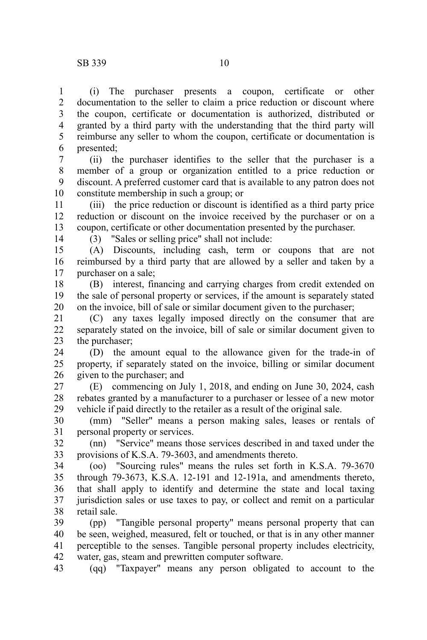(i) The purchaser presents a coupon, certificate or other documentation to the seller to claim a price reduction or discount where the coupon, certificate or documentation is authorized, distributed or granted by a third party with the understanding that the third party will reimburse any seller to whom the coupon, certificate or documentation is presented; 1 2 3 4 5 6

(ii) the purchaser identifies to the seller that the purchaser is a member of a group or organization entitled to a price reduction or discount. A preferred customer card that is available to any patron does not constitute membership in such a group; or 7 8 9 10

(iii) the price reduction or discount is identified as a third party price reduction or discount on the invoice received by the purchaser or on a coupon, certificate or other documentation presented by the purchaser. 11 12 13

14

(3) "Sales or selling price" shall not include:

(A) Discounts, including cash, term or coupons that are not reimbursed by a third party that are allowed by a seller and taken by a purchaser on a sale; 15 16 17

(B) interest, financing and carrying charges from credit extended on the sale of personal property or services, if the amount is separately stated on the invoice, bill of sale or similar document given to the purchaser; 18 19 20

(C) any taxes legally imposed directly on the consumer that are separately stated on the invoice, bill of sale or similar document given to the purchaser; 21 22 23

(D) the amount equal to the allowance given for the trade-in of property, if separately stated on the invoice, billing or similar document given to the purchaser; and 24 25 26

(E) commencing on July 1, 2018, and ending on June 30, 2024, cash rebates granted by a manufacturer to a purchaser or lessee of a new motor vehicle if paid directly to the retailer as a result of the original sale. 27 28 29

(mm) "Seller" means a person making sales, leases or rentals of personal property or services. 30 31

(nn) "Service" means those services described in and taxed under the provisions of K.S.A. 79-3603, and amendments thereto. 32 33

(oo) "Sourcing rules" means the rules set forth in K.S.A. 79-3670 through 79-3673, K.S.A. 12-191 and 12-191a, and amendments thereto, that shall apply to identify and determine the state and local taxing jurisdiction sales or use taxes to pay, or collect and remit on a particular retail sale. 34 35 36 37 38

(pp) "Tangible personal property" means personal property that can be seen, weighed, measured, felt or touched, or that is in any other manner perceptible to the senses. Tangible personal property includes electricity, water, gas, steam and prewritten computer software. 39 40 41 42

(qq) "Taxpayer" means any person obligated to account to the 43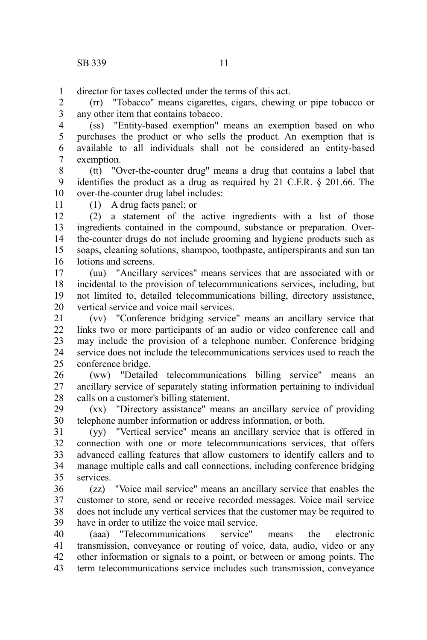director for taxes collected under the terms of this act. 1

(rr) "Tobacco" means cigarettes, cigars, chewing or pipe tobacco or any other item that contains tobacco. 2 3

(ss) "Entity-based exemption" means an exemption based on who purchases the product or who sells the product. An exemption that is available to all individuals shall not be considered an entity-based exemption. 4 5 6 7

(tt) "Over-the-counter drug" means a drug that contains a label that identifies the product as a drug as required by 21 C.F.R. § 201.66. The over-the-counter drug label includes: 8 9 10

11

(1) A drug facts panel; or

(2) a statement of the active ingredients with a list of those ingredients contained in the compound, substance or preparation. Overthe-counter drugs do not include grooming and hygiene products such as soaps, cleaning solutions, shampoo, toothpaste, antiperspirants and sun tan lotions and screens. 12 13 14 15 16

(uu) "Ancillary services" means services that are associated with or incidental to the provision of telecommunications services, including, but not limited to, detailed telecommunications billing, directory assistance, vertical service and voice mail services. 17 18 19 20

(vv) "Conference bridging service" means an ancillary service that links two or more participants of an audio or video conference call and may include the provision of a telephone number. Conference bridging service does not include the telecommunications services used to reach the conference bridge. 21 22 23 24 25

(ww) "Detailed telecommunications billing service" means an ancillary service of separately stating information pertaining to individual calls on a customer's billing statement. 26 27 28

(xx) "Directory assistance" means an ancillary service of providing telephone number information or address information, or both. 29 30

(yy) "Vertical service" means an ancillary service that is offered in connection with one or more telecommunications services, that offers advanced calling features that allow customers to identify callers and to manage multiple calls and call connections, including conference bridging services. 31 32 33 34 35

(zz) "Voice mail service" means an ancillary service that enables the customer to store, send or receive recorded messages. Voice mail service does not include any vertical services that the customer may be required to have in order to utilize the voice mail service. 36 37 38 39

(aaa) "Telecommunications service" means the electronic transmission, conveyance or routing of voice, data, audio, video or any other information or signals to a point, or between or among points. The term telecommunications service includes such transmission, conveyance 40 41 42 43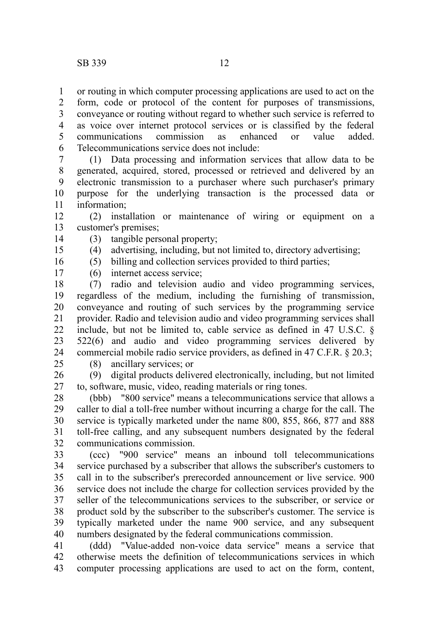or routing in which computer processing applications are used to act on the form, code or protocol of the content for purposes of transmissions, conveyance or routing without regard to whether such service is referred to as voice over internet protocol services or is classified by the federal communications commission as enhanced or value added. Telecommunications service does not include: 1 2 3 4 5 6

(1) Data processing and information services that allow data to be generated, acquired, stored, processed or retrieved and delivered by an electronic transmission to a purchaser where such purchaser's primary purpose for the underlying transaction is the processed data or information; 7 8 9 10 11

(2) installation or maintenance of wiring or equipment on a customer's premises; 12 13

- (3) tangible personal property; 14
	- (4) advertising, including, but not limited to, directory advertising;
		- (5) billing and collection services provided to third parties;
- 16 17

15

(6) internet access service;

(7) radio and television audio and video programming services, regardless of the medium, including the furnishing of transmission, conveyance and routing of such services by the programming service provider. Radio and television audio and video programming services shall include, but not be limited to, cable service as defined in 47 U.S.C. § 522(6) and audio and video programming services delivered by commercial mobile radio service providers, as defined in 47 C.F.R. § 20.3; 18 19 20 21 22 23 24

25

(8) ancillary services; or

(9) digital products delivered electronically, including, but not limited to, software, music, video, reading materials or ring tones. 26 27

(bbb) "800 service" means a telecommunications service that allows a caller to dial a toll-free number without incurring a charge for the call. The service is typically marketed under the name 800, 855, 866, 877 and 888 toll-free calling, and any subsequent numbers designated by the federal communications commission. 28 29 30 31 32

(ccc) "900 service" means an inbound toll telecommunications service purchased by a subscriber that allows the subscriber's customers to call in to the subscriber's prerecorded announcement or live service. 900 service does not include the charge for collection services provided by the seller of the telecommunications services to the subscriber, or service or product sold by the subscriber to the subscriber's customer. The service is typically marketed under the name 900 service, and any subsequent numbers designated by the federal communications commission. 33 34 35 36 37 38 39 40

(ddd) "Value-added non-voice data service" means a service that otherwise meets the definition of telecommunications services in which computer processing applications are used to act on the form, content, 41 42 43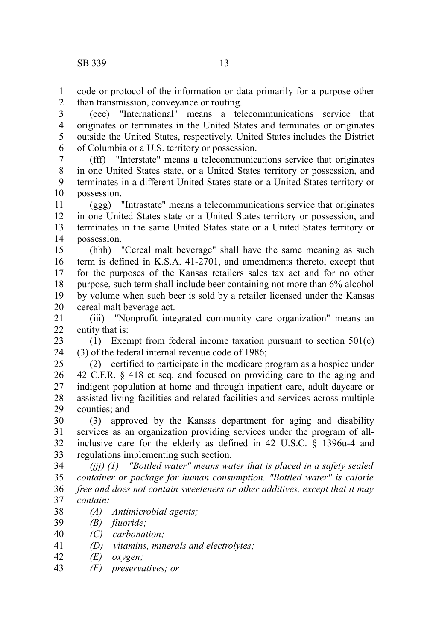code or protocol of the information or data primarily for a purpose other than transmission, conveyance or routing. 1 2

(eee) "International" means a telecommunications service that originates or terminates in the United States and terminates or originates outside the United States, respectively. United States includes the District of Columbia or a U.S. territory or possession. 3 4 5 6

(fff) "Interstate" means a telecommunications service that originates in one United States state, or a United States territory or possession, and terminates in a different United States state or a United States territory or possession. 7 8 9 10

(ggg) "Intrastate" means a telecommunications service that originates in one United States state or a United States territory or possession, and terminates in the same United States state or a United States territory or possession. 11 12 13 14

(hhh) "Cereal malt beverage" shall have the same meaning as such term is defined in K.S.A. 41-2701, and amendments thereto, except that for the purposes of the Kansas retailers sales tax act and for no other purpose, such term shall include beer containing not more than 6% alcohol by volume when such beer is sold by a retailer licensed under the Kansas cereal malt beverage act. 15 16 17 18 19 20

(iii) "Nonprofit integrated community care organization" means an entity that is: 21  $22$ 

(1) Exempt from federal income taxation pursuant to section 501(c) (3) of the federal internal revenue code of 1986; 23 24

(2) certified to participate in the medicare program as a hospice under 42 C.F.R. § 418 et seq. and focused on providing care to the aging and indigent population at home and through inpatient care, adult daycare or assisted living facilities and related facilities and services across multiple counties; and 25 26 27 28 29

(3) approved by the Kansas department for aging and disability services as an organization providing services under the program of allinclusive care for the elderly as defined in 42 U.S.C. § 1396u-4 and regulations implementing such section. 30 31 32 33

*(jjj) (1) "Bottled water" means water that is placed in a safety sealed container or package for human consumption. "Bottled water" is calorie free and does not contain sweeteners or other additives, except that it may contain:* 34 35 36 37

- *(A) Antimicrobial agents;* 38
- *(B) fluoride;* 39
- *(C) carbonation;* 40
- *(D) vitamins, minerals and electrolytes;* 41
- *(E) oxygen;* 42
- *(F) preservatives; or* 43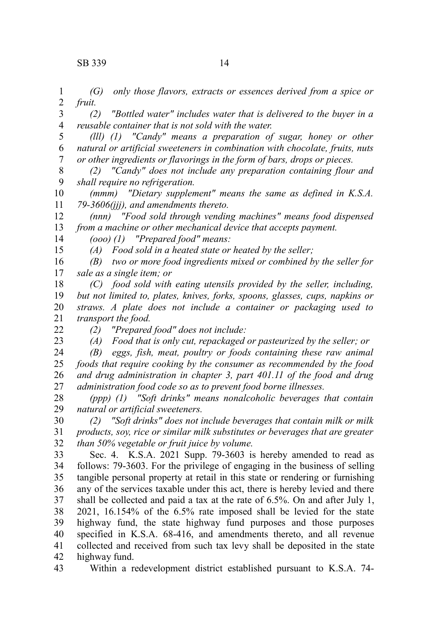*(G) only those flavors, extracts or essences derived from a spice or fruit.* 1 2

*(2) "Bottled water" includes water that is delivered to the buyer in a reusable container that is not sold with the water.* 3 4

*(lll) (1) "Candy" means a preparation of sugar, honey or other natural or artificial sweeteners in combination with chocolate, fruits, nuts or other ingredients or flavorings in the form of bars, drops or pieces.* 5 6 7

*(2) "Candy" does not include any preparation containing flour and shall require no refrigeration.* 8 9

*(mmm) "Dietary supplement" means the same as defined in K.S.A. 79-3606(jjj), and amendments thereto.* 10 11

*(nnn) "Food sold through vending machines" means food dispensed from a machine or other mechanical device that accepts payment.* 12 13

*(ooo) (1) "Prepared food" means:* 14

*(A) Food sold in a heated state or heated by the seller;*

*(B) two or more food ingredients mixed or combined by the seller for sale as a single item; or* 16 17

*(C) food sold with eating utensils provided by the seller, including, but not limited to, plates, knives, forks, spoons, glasses, cups, napkins or straws. A plate does not include a container or packaging used to transport the food.* 18 19 20 21

22

15

23

*(2) "Prepared food" does not include:*

*(A) Food that is only cut, repackaged or pasteurized by the seller; or*

*(B) eggs, fish, meat, poultry or foods containing these raw animal foods that require cooking by the consumer as recommended by the food and drug administration in chapter 3, part 401.11 of the food and drug administration food code so as to prevent food borne illnesses.* 24 25 26 27

*(ppp) (1) "Soft drinks" means nonalcoholic beverages that contain natural or artificial sweeteners.* 28 29

*(2) "Soft drinks" does not include beverages that contain milk or milk products, soy, rice or similar milk substitutes or beverages that are greater than 50% vegetable or fruit juice by volume.* 30 31 32

Sec. 4. K.S.A. 2021 Supp. 79-3603 is hereby amended to read as follows: 79-3603. For the privilege of engaging in the business of selling tangible personal property at retail in this state or rendering or furnishing any of the services taxable under this act, there is hereby levied and there shall be collected and paid a tax at the rate of 6.5%. On and after July 1, 2021, 16.154% of the 6.5% rate imposed shall be levied for the state highway fund, the state highway fund purposes and those purposes specified in K.S.A. 68-416, and amendments thereto, and all revenue collected and received from such tax levy shall be deposited in the state highway fund. 33 34 35 36 37 38 39 40 41 42

Within a redevelopment district established pursuant to K.S.A. 74- 43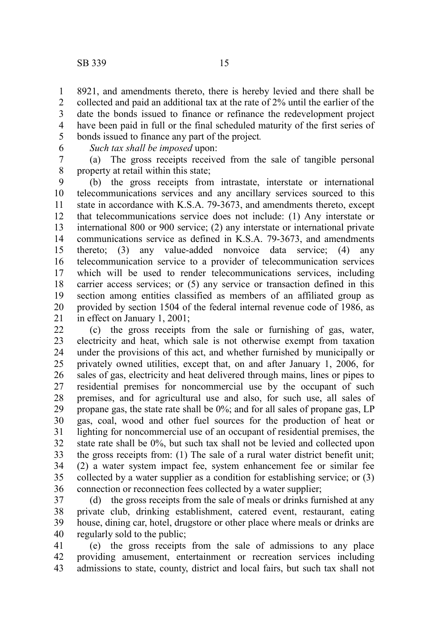8921, and amendments thereto, there is hereby levied and there shall be collected and paid an additional tax at the rate of 2% until the earlier of the date the bonds issued to finance or refinance the redevelopment project have been paid in full or the final scheduled maturity of the first series of bonds issued to finance any part of the project*.* 1 2 3 4 5

6

*Such tax shall be imposed* upon:

(a) The gross receipts received from the sale of tangible personal property at retail within this state; 7 8

(b) the gross receipts from intrastate, interstate or international telecommunications services and any ancillary services sourced to this state in accordance with K.S.A. 79-3673, and amendments thereto, except that telecommunications service does not include: (1) Any interstate or international 800 or 900 service; (2) any interstate or international private communications service as defined in K.S.A. 79-3673, and amendments thereto; (3) any value-added nonvoice data service; (4) any telecommunication service to a provider of telecommunication services which will be used to render telecommunications services, including carrier access services; or (5) any service or transaction defined in this section among entities classified as members of an affiliated group as provided by section 1504 of the federal internal revenue code of 1986, as in effect on January 1, 2001; 9 10 11 12 13 14 15 16 17 18 19 20 21

(c) the gross receipts from the sale or furnishing of gas, water, electricity and heat, which sale is not otherwise exempt from taxation under the provisions of this act, and whether furnished by municipally or privately owned utilities, except that, on and after January 1, 2006, for sales of gas, electricity and heat delivered through mains, lines or pipes to residential premises for noncommercial use by the occupant of such premises, and for agricultural use and also, for such use, all sales of propane gas, the state rate shall be 0%; and for all sales of propane gas, LP gas, coal, wood and other fuel sources for the production of heat or lighting for noncommercial use of an occupant of residential premises, the state rate shall be 0%, but such tax shall not be levied and collected upon the gross receipts from: (1) The sale of a rural water district benefit unit; (2) a water system impact fee, system enhancement fee or similar fee collected by a water supplier as a condition for establishing service; or (3) connection or reconnection fees collected by a water supplier; 22 23 24 25 26 27 28 29 30 31 32 33 34 35 36

(d) the gross receipts from the sale of meals or drinks furnished at any private club, drinking establishment, catered event, restaurant, eating house, dining car, hotel, drugstore or other place where meals or drinks are regularly sold to the public; 37 38 39 40

(e) the gross receipts from the sale of admissions to any place providing amusement, entertainment or recreation services including admissions to state, county, district and local fairs, but such tax shall not 41 42 43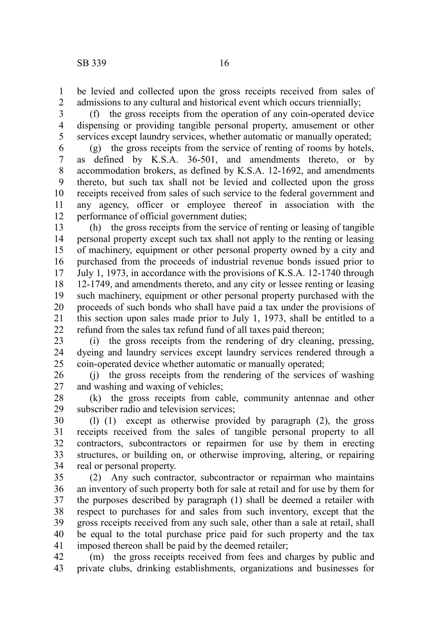be levied and collected upon the gross receipts received from sales of admissions to any cultural and historical event which occurs triennially; 1 2

(f) the gross receipts from the operation of any coin-operated device dispensing or providing tangible personal property, amusement or other services except laundry services, whether automatic or manually operated; 3 4 5

(g) the gross receipts from the service of renting of rooms by hotels, as defined by K.S.A. 36-501, and amendments thereto, or by accommodation brokers, as defined by K.S.A. 12-1692, and amendments thereto, but such tax shall not be levied and collected upon the gross receipts received from sales of such service to the federal government and any agency, officer or employee thereof in association with the performance of official government duties; 6 7 8 9 10 11 12

(h) the gross receipts from the service of renting or leasing of tangible personal property except such tax shall not apply to the renting or leasing of machinery, equipment or other personal property owned by a city and purchased from the proceeds of industrial revenue bonds issued prior to July 1, 1973, in accordance with the provisions of K.S.A. 12-1740 through 12-1749, and amendments thereto, and any city or lessee renting or leasing such machinery, equipment or other personal property purchased with the proceeds of such bonds who shall have paid a tax under the provisions of this section upon sales made prior to July 1, 1973, shall be entitled to a refund from the sales tax refund fund of all taxes paid thereon; 13 14 15 16 17 18 19 20 21 22

(i) the gross receipts from the rendering of dry cleaning, pressing, dyeing and laundry services except laundry services rendered through a coin-operated device whether automatic or manually operated; 23 24 25

(j) the gross receipts from the rendering of the services of washing and washing and waxing of vehicles; 26 27

(k) the gross receipts from cable, community antennae and other subscriber radio and television services; 28 29

(l) (1) except as otherwise provided by paragraph (2), the gross receipts received from the sales of tangible personal property to all contractors, subcontractors or repairmen for use by them in erecting structures, or building on, or otherwise improving, altering, or repairing real or personal property. 30 31 32 33 34

(2) Any such contractor, subcontractor or repairman who maintains an inventory of such property both for sale at retail and for use by them for the purposes described by paragraph (1) shall be deemed a retailer with respect to purchases for and sales from such inventory, except that the gross receipts received from any such sale, other than a sale at retail, shall be equal to the total purchase price paid for such property and the tax imposed thereon shall be paid by the deemed retailer; 35 36 37 38 39 40 41

(m) the gross receipts received from fees and charges by public and private clubs, drinking establishments, organizations and businesses for 42 43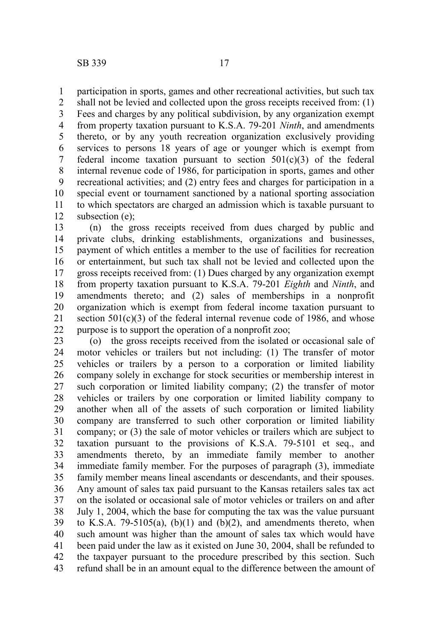participation in sports, games and other recreational activities, but such tax 1

shall not be levied and collected upon the gross receipts received from: (1) Fees and charges by any political subdivision, by any organization exempt from property taxation pursuant to K.S.A. 79-201 *Ninth*, and amendments thereto, or by any youth recreation organization exclusively providing services to persons 18 years of age or younger which is exempt from federal income taxation pursuant to section  $501(c)(3)$  of the federal internal revenue code of 1986, for participation in sports, games and other recreational activities; and (2) entry fees and charges for participation in a special event or tournament sanctioned by a national sporting association to which spectators are charged an admission which is taxable pursuant to subsection (e); 2 3 4 5 6 7 8 9 10 11 12

(n) the gross receipts received from dues charged by public and private clubs, drinking establishments, organizations and businesses, payment of which entitles a member to the use of facilities for recreation or entertainment, but such tax shall not be levied and collected upon the gross receipts received from: (1) Dues charged by any organization exempt from property taxation pursuant to K.S.A. 79-201 *Eighth* and *Ninth*, and amendments thereto; and (2) sales of memberships in a nonprofit organization which is exempt from federal income taxation pursuant to section  $501(c)(3)$  of the federal internal revenue code of 1986, and whose purpose is to support the operation of a nonprofit zoo; 13 14 15 16 17 18 19 20 21 22

(o) the gross receipts received from the isolated or occasional sale of motor vehicles or trailers but not including: (1) The transfer of motor vehicles or trailers by a person to a corporation or limited liability company solely in exchange for stock securities or membership interest in such corporation or limited liability company; (2) the transfer of motor vehicles or trailers by one corporation or limited liability company to another when all of the assets of such corporation or limited liability company are transferred to such other corporation or limited liability company; or (3) the sale of motor vehicles or trailers which are subject to taxation pursuant to the provisions of K.S.A. 79-5101 et seq., and amendments thereto, by an immediate family member to another immediate family member. For the purposes of paragraph (3), immediate family member means lineal ascendants or descendants, and their spouses. Any amount of sales tax paid pursuant to the Kansas retailers sales tax act on the isolated or occasional sale of motor vehicles or trailers on and after July 1, 2004, which the base for computing the tax was the value pursuant to K.S.A. 79-5105(a),  $(b)(1)$  and  $(b)(2)$ , and amendments thereto, when such amount was higher than the amount of sales tax which would have been paid under the law as it existed on June 30, 2004, shall be refunded to the taxpayer pursuant to the procedure prescribed by this section. Such refund shall be in an amount equal to the difference between the amount of 23 24 25 26 27 28 29 30 31 32 33 34 35 36 37 38 39 40 41 42 43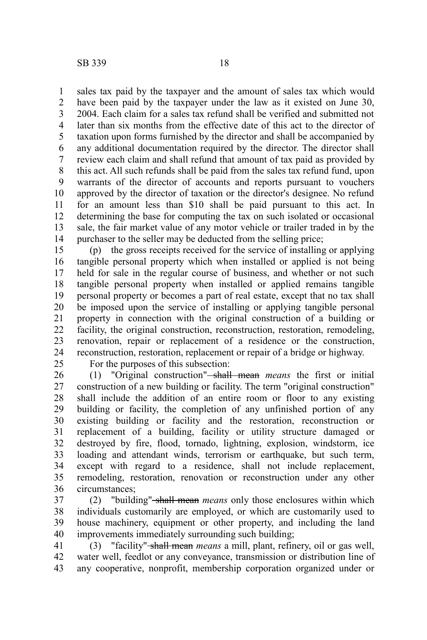sales tax paid by the taxpayer and the amount of sales tax which would have been paid by the taxpayer under the law as it existed on June 30, 2004. Each claim for a sales tax refund shall be verified and submitted not later than six months from the effective date of this act to the director of taxation upon forms furnished by the director and shall be accompanied by any additional documentation required by the director. The director shall review each claim and shall refund that amount of tax paid as provided by this act. All such refunds shall be paid from the sales tax refund fund, upon warrants of the director of accounts and reports pursuant to vouchers approved by the director of taxation or the director's designee. No refund for an amount less than \$10 shall be paid pursuant to this act. In determining the base for computing the tax on such isolated or occasional sale, the fair market value of any motor vehicle or trailer traded in by the purchaser to the seller may be deducted from the selling price; 1 2 3 4 5 6 7 8 9 10 11 12 13 14

(p) the gross receipts received for the service of installing or applying tangible personal property which when installed or applied is not being held for sale in the regular course of business, and whether or not such tangible personal property when installed or applied remains tangible personal property or becomes a part of real estate, except that no tax shall be imposed upon the service of installing or applying tangible personal property in connection with the original construction of a building or facility, the original construction, reconstruction, restoration, remodeling, renovation, repair or replacement of a residence or the construction, reconstruction, restoration, replacement or repair of a bridge or highway. 15 16 17 18 19 20 21 22 23 24

25

For the purposes of this subsection:

(1) "Original construction" shall mean *means* the first or initial construction of a new building or facility. The term "original construction" shall include the addition of an entire room or floor to any existing building or facility, the completion of any unfinished portion of any existing building or facility and the restoration, reconstruction or replacement of a building, facility or utility structure damaged or destroyed by fire, flood, tornado, lightning, explosion, windstorm, ice loading and attendant winds, terrorism or earthquake, but such term, except with regard to a residence, shall not include replacement, remodeling, restoration, renovation or reconstruction under any other circumstances; 26 27 28 29 30 31 32 33 34 35 36

(2) "building" shall mean *means* only those enclosures within which individuals customarily are employed, or which are customarily used to house machinery, equipment or other property, and including the land improvements immediately surrounding such building; 37 38 39 40

(3) "facility" shall mean *means* a mill, plant, refinery, oil or gas well, water well, feedlot or any conveyance, transmission or distribution line of any cooperative, nonprofit, membership corporation organized under or 41 42 43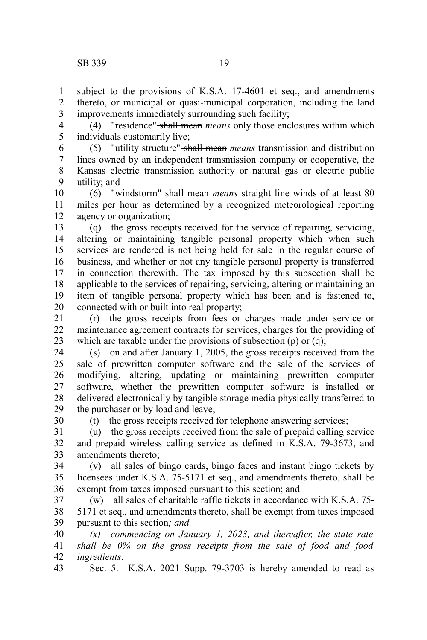30

subject to the provisions of K.S.A. 17-4601 et seq., and amendments thereto, or municipal or quasi-municipal corporation, including the land improvements immediately surrounding such facility; 1 2 3

(4) "residence" shall mean *means* only those enclosures within which individuals customarily live; 4 5

(5) "utility structure" shall mean *means* transmission and distribution lines owned by an independent transmission company or cooperative, the Kansas electric transmission authority or natural gas or electric public utility; and 6 7 8 9

(6) "windstorm" shall mean *means* straight line winds of at least 80 miles per hour as determined by a recognized meteorological reporting agency or organization; 10 11 12

(q) the gross receipts received for the service of repairing, servicing, altering or maintaining tangible personal property which when such services are rendered is not being held for sale in the regular course of business, and whether or not any tangible personal property is transferred in connection therewith. The tax imposed by this subsection shall be applicable to the services of repairing, servicing, altering or maintaining an item of tangible personal property which has been and is fastened to, connected with or built into real property; 13 14 15 16 17 18 19 20

(r) the gross receipts from fees or charges made under service or maintenance agreement contracts for services, charges for the providing of which are taxable under the provisions of subsection (p) or (q); 21 22 23

(s) on and after January 1, 2005, the gross receipts received from the sale of prewritten computer software and the sale of the services of modifying, altering, updating or maintaining prewritten computer software, whether the prewritten computer software is installed or delivered electronically by tangible storage media physically transferred to the purchaser or by load and leave; 24 25 26 27 28 29

(t) the gross receipts received for telephone answering services;

(u) the gross receipts received from the sale of prepaid calling service and prepaid wireless calling service as defined in K.S.A. 79-3673, and amendments thereto; 31 32 33

(v) all sales of bingo cards, bingo faces and instant bingo tickets by licensees under K.S.A. 75-5171 et seq., and amendments thereto, shall be exempt from taxes imposed pursuant to this section; and 34 35 36

(w) all sales of charitable raffle tickets in accordance with K.S.A. 75- 5171 et seq., and amendments thereto, shall be exempt from taxes imposed pursuant to this section*; and* 37 38 39

*(x) commencing on January 1, 2023, and thereafter, the state rate shall be 0% on the gross receipts from the sale of food and food ingredients*. 40 41 42

Sec. 5. K.S.A. 2021 Supp. 79-3703 is hereby amended to read as 43